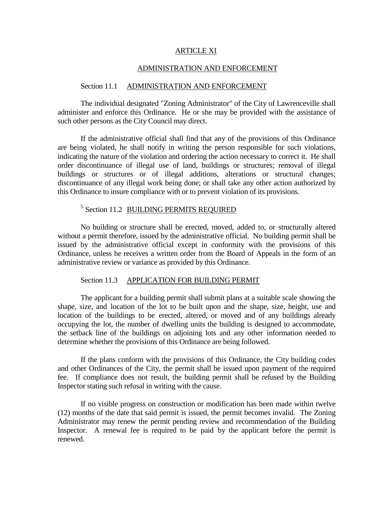#### ARTICLE XI

#### ADMINISTRATION AND ENFORCEMENT

#### Section 11.1 ADMINISTRATION AND ENFORCEMENT

The individual designated "Zoning Administrator" of the City of Lawrenceville shall administer and enforce this Ordinance. He or she may be provided with the assistance of such other persons as the City Council may direct.

If the administrative official shall find that any of the provisions of this Ordinance are being violated, he shall notify in writing the person responsible for such violations, indicating the nature of the violation and ordering the action necessary to correct it. He shall order discontinuance of illegal use of land, buildings or structures; removal of illegal buildings or structures or of illegal additions, alterations or structural changes; discontinuance of any illegal work being done; or shall take any other action authorized by this Ordinance to insure compliance with or to prevent violation of its provisions.

# <sup>5</sup> Section 11.2 **BUILDING PERMITS REQUIRED**

No building or structure shall be erected, moved, added to, or structurally altered without a permit therefore, issued by the administrative official. No building permit shall be issued by the administrative official except in conformity with the provisions of this Ordinance, unless he receives a written order from the Board of Appeals in the form of an administrative review or variance as provided by this Ordinance.

#### Section 11.3 APPLICATION FOR BUILDING PERMIT

The applicant for a building permit shall submit plans at a suitable scale showing the shape, size, and location of the lot to be built upon and the shape, size, height, use and location of the buildings to be erected, altered, or moved and of any buildings already occupying the lot, the number of dwelling units the building is designed to accommodate, the setback line of the buildings on adjoining lots and any other information needed to determine whether the provisions of this Ordinance are being followed.

If the plans conform with the provisions of this Ordinance, the City building codes and other Ordinances of the City, the permit shall be issued upon payment of the required fee. If compliance does not result, the building permit shall be refused by the Building Inspector stating such refusal in writing with the cause.

If no visible progress on construction or modification has been made within twelve (12) months of the date that said permit is issued, the permit becomes invalid. The Zoning Administrator may renew the permit pending review and recommendation of the Building Inspector. A renewal fee is required to be paid by the applicant before the permit is renewed.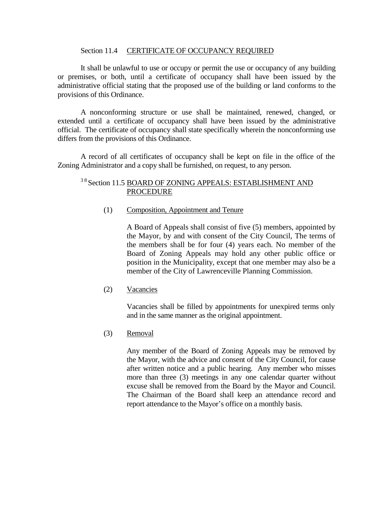#### Section 11.4 CERTIFICATE OF OCCUPANCY REQUIRED

It shall be unlawful to use or occupy or permit the use or occupancy of any building or premises, or both, until a certificate of occupancy shall have been issued by the administrative official stating that the proposed use of the building or land conforms to the provisions of this Ordinance.

A nonconforming structure or use shall be maintained, renewed, changed, or extended until a certificate of occupancy shall have been issued by the administrative official. The certificate of occupancy shall state specifically wherein the nonconforming use differs from the provisions of this Ordinance.

A record of all certificates of occupancy shall be kept on file in the office of the Zoning Administrator and a copy shall be furnished, on request, to any person.

# <sup>38</sup> Section 11.5 BOARD OF ZONING APPEALS: ESTABLISHMENT AND PROCEDURE

### (1) Composition, Appointment and Tenure

A Board of Appeals shall consist of five (5) members, appointed by the Mayor, by and with consent of the City Council, The terms of the members shall be for four (4) years each. No member of the Board of Zoning Appeals may hold any other public office or position in the Municipality, except that one member may also be a member of the City of Lawrenceville Planning Commission.

#### (2) Vacancies

Vacancies shall be filled by appointments for unexpired terms only and in the same manner as the original appointment.

### (3) Removal

Any member of the Board of Zoning Appeals may be removed by the Mayor, with the advice and consent of the City Council, for cause after written notice and a public hearing. Any member who misses more than three (3) meetings in any one calendar quarter without excuse shall be removed from the Board by the Mayor and Council. The Chairman of the Board shall keep an attendance record and report attendance to the Mayor's office on a monthly basis.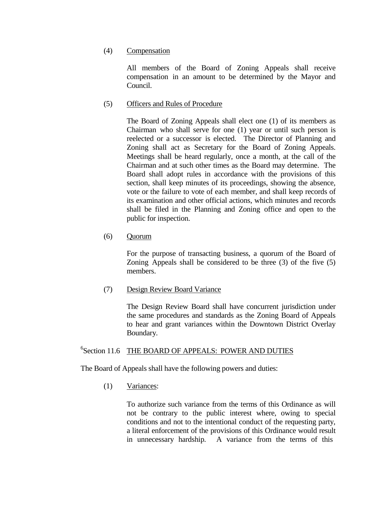### (4) Compensation

All members of the Board of Zoning Appeals shall receive compensation in an amount to be determined by the Mayor and Council.

### (5) Officers and Rules of Procedure

The Board of Zoning Appeals shall elect one (1) of its members as Chairman who shall serve for one (1) year or until such person is reelected or a successor is elected. The Director of Planning and Zoning shall act as Secretary for the Board of Zoning Appeals. Meetings shall be heard regularly, once a month, at the call of the Chairman and at such other times as the Board may determine. The Board shall adopt rules in accordance with the provisions of this section, shall keep minutes of its proceedings, showing the absence, vote or the failure to vote of each member, and shall keep records of its examination and other official actions, which minutes and records shall be filed in the Planning and Zoning office and open to the public for inspection.

(6) Quorum

For the purpose of transacting business, a quorum of the Board of Zoning Appeals shall be considered to be three (3) of the five (5) members.

(7) Design Review Board Variance

The Design Review Board shall have concurrent jurisdiction under the same procedures and standards as the Zoning Board of Appeals to hear and grant variances within the Downtown District Overlay Boundary.

# <sup>6</sup>Section 11.6 THE BOARD OF APPEALS: POWER AND DUTIES

The Board of Appeals shall have the following powers and duties:

(1) Variances:

To authorize such variance from the terms of this Ordinance as will not be contrary to the public interest where, owing to special conditions and not to the intentional conduct of the requesting party, a literal enforcement of the provisions of this Ordinance would result in unnecessary hardship. A variance from the terms of this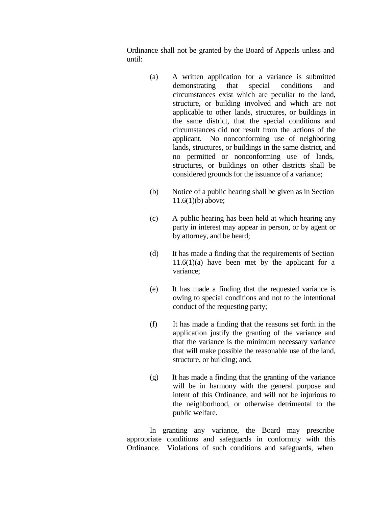Ordinance shall not be granted by the Board of Appeals unless and until:

- (a) A written application for a variance is submitted demonstrating that special conditions and circumstances exist which are peculiar to the land, structure, or building involved and which are not applicable to other lands, structures, or buildings in the same district, that the special conditions and circumstances did not result from the actions of the applicant. No nonconforming use of neighboring lands, structures, or buildings in the same district, and no permitted or nonconforming use of lands, structures, or buildings on other districts shall be considered grounds for the issuance of a variance;
- (b) Notice of a public hearing shall be given as in Section 11.6(1)(b) above;
- (c) A public hearing has been held at which hearing any party in interest may appear in person, or by agent or by attorney, and be heard;
- (d) It has made a finding that the requirements of Section  $11.6(1)(a)$  have been met by the applicant for a variance;
- (e) It has made a finding that the requested variance is owing to special conditions and not to the intentional conduct of the requesting party;
- (f) It has made a finding that the reasons set forth in the application justify the granting of the variance and that the variance is the minimum necessary variance that will make possible the reasonable use of the land, structure, or building; and,
- (g) It has made a finding that the granting of the variance will be in harmony with the general purpose and intent of this Ordinance, and will not be injurious to the neighborhood, or otherwise detrimental to the public welfare.

In granting any variance, the Board may prescribe appropriate conditions and safeguards in conformity with this Ordinance. Violations of such conditions and safeguards, when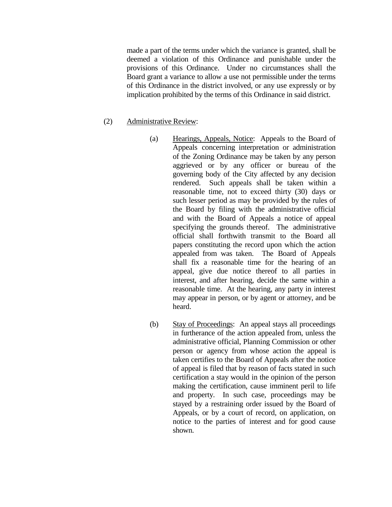made a part of the terms under which the variance is granted, shall be deemed a violation of this Ordinance and punishable under the provisions of this Ordinance. Under no circumstances shall the Board grant a variance to allow a use not permissible under the terms of this Ordinance in the district involved, or any use expressly or by implication prohibited by the terms of this Ordinance in said district.

# (2) Administrative Review:

- (a) Hearings, Appeals, Notice: Appeals to the Board of Appeals concerning interpretation or administration of the Zoning Ordinance may be taken by any person aggrieved or by any officer or bureau of the governing body of the City affected by any decision rendered. Such appeals shall be taken within a reasonable time, not to exceed thirty (30) days or such lesser period as may be provided by the rules of the Board by filing with the administrative official and with the Board of Appeals a notice of appeal specifying the grounds thereof. The administrative official shall forthwith transmit to the Board all papers constituting the record upon which the action appealed from was taken. The Board of Appeals shall fix a reasonable time for the hearing of an appeal, give due notice thereof to all parties in interest, and after hearing, decide the same within a reasonable time. At the hearing, any party in interest may appear in person, or by agent or attorney, and be heard.
- (b) Stay of Proceedings: An appeal stays all proceedings in furtherance of the action appealed from, unless the administrative official, Planning Commission or other person or agency from whose action the appeal is taken certifies to the Board of Appeals after the notice of appeal is filed that by reason of facts stated in such certification a stay would in the opinion of the person making the certification, cause imminent peril to life and property. In such case, proceedings may be stayed by a restraining order issued by the Board of Appeals, or by a court of record, on application, on notice to the parties of interest and for good cause shown.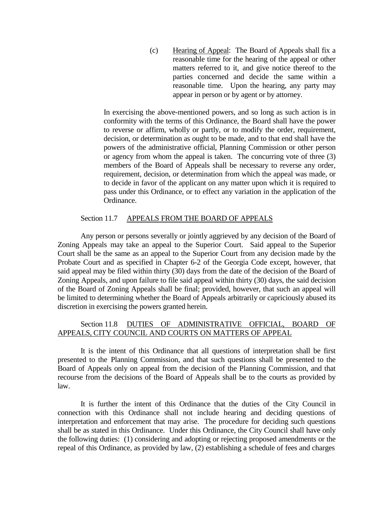(c) Hearing of Appeal: The Board of Appeals shall fix a reasonable time for the hearing of the appeal or other matters referred to it, and give notice thereof to the parties concerned and decide the same within a reasonable time. Upon the hearing, any party may appear in person or by agent or by attorney.

In exercising the above-mentioned powers, and so long as such action is in conformity with the terms of this Ordinance, the Board shall have the power to reverse or affirm, wholly or partly, or to modify the order, requirement, decision, or determination as ought to be made, and to that end shall have the powers of the administrative official, Planning Commission or other person or agency from whom the appeal is taken. The concurring vote of three (3) members of the Board of Appeals shall be necessary to reverse any order, requirement, decision, or determination from which the appeal was made, or to decide in favor of the applicant on any matter upon which it is required to pass under this Ordinance, or to effect any variation in the application of the Ordinance.

### Section 11.7 APPEALS FROM THE BOARD OF APPEALS

Any person or persons severally or jointly aggrieved by any decision of the Board of Zoning Appeals may take an appeal to the Superior Court. Said appeal to the Superior Court shall be the same as an appeal to the Superior Court from any decision made by the Probate Court and as specified in Chapter 6-2 of the Georgia Code except, however, that said appeal may be filed within thirty (30) days from the date of the decision of the Board of Zoning Appeals, and upon failure to file said appeal within thirty (30) days, the said decision of the Board of Zoning Appeals shall be final; provided, however, that such an appeal will be limited to determining whether the Board of Appeals arbitrarily or capriciously abused its discretion in exercising the powers granted herein.

### Section 11.8 DUTIES OF ADMINISTRATIVE OFFICIAL, BOARD OF APPEALS, CITY COUNCIL AND COURTS ON MATTERS OF APPEAL

It is the intent of this Ordinance that all questions of interpretation shall be first presented to the Planning Commission, and that such questions shall be presented to the Board of Appeals only on appeal from the decision of the Planning Commission, and that recourse from the decisions of the Board of Appeals shall be to the courts as provided by law.

It is further the intent of this Ordinance that the duties of the City Council in connection with this Ordinance shall not include hearing and deciding questions of interpretation and enforcement that may arise. The procedure for deciding such questions shall be as stated in this Ordinance. Under this Ordinance, the City Council shall have only the following duties: (1) considering and adopting or rejecting proposed amendments or the repeal of this Ordinance, as provided by law, (2) establishing a schedule of fees and charges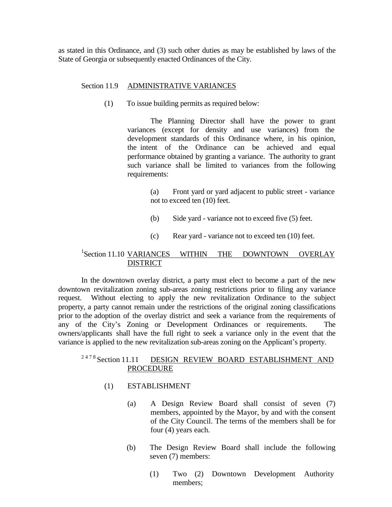as stated in this Ordinance, and (3) such other duties as may be established by laws of the State of Georgia or subsequently enacted Ordinances of the City.

#### Section 11.9 ADMINISTRATIVE VARIANCES

(1) To issue building permits as required below:

The Planning Director shall have the power to grant variances (except for density and use variances) from the development standards of this Ordinance where, in his opinion, the intent of the Ordinance can be achieved and equal performance obtained by granting a variance. The authority to grant such variance shall be limited to variances from the following requirements:

- (a) Front yard or yard adjacent to public street variance not to exceed ten (10) feet.
- (b) Side yard variance not to exceed five (5) feet.
- (c) Rear yard variance not to exceed ten (10) feet.

# <sup>1</sup>Section 11.10 VARIANCES WITHIN THE DOWNTOWN OVERLAY DISTRICT

In the downtown overlay district, a party must elect to become a part of the new downtown revitalization zoning sub-areas zoning restrictions prior to filing any variance request. Without electing to apply the new revitalization Ordinance to the subject property, a party cannot remain under the restrictions of the original zoning classifications prior to the adoption of the overlay district and seek a variance from the requirements of any of the City's Zoning or Development Ordinances or requirements. The owners/applicants shall have the full right to seek a variance only in the event that the variance is applied to the new revitalization sub-areas zoning on the Applicant's property.

#### <sup>2478</sup> Section 11.11 DESIGN REVIEW BOARD ESTABLISHMENT AND PROCEDURE

#### (1) ESTABLISHMENT

- (a) A Design Review Board shall consist of seven (7) members, appointed by the Mayor, by and with the consent of the City Council. The terms of the members shall be for four (4) years each.
- (b) The Design Review Board shall include the following seven (7) members:
	- (1) Two (2) Downtown Development Authority members;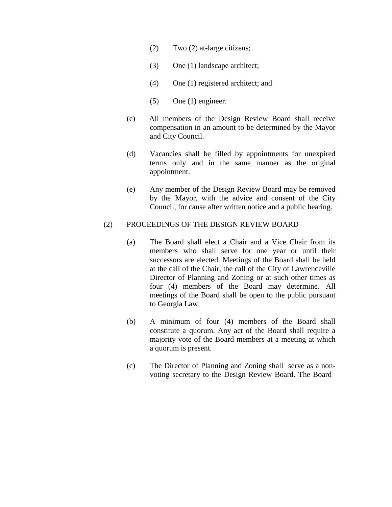- (2) Two (2) at-large citizens;
- (3) One (1) landscape architect;
- (4) One (1) registered architect; and
- (5) One (1) engineer.
- (c) All members of the Design Review Board shall receive compensation in an amount to be determined by the Mayor and City Council.
- (d) Vacancies shall be filled by appointments for unexpired terms only and in the same manner as the original appointment.
- (e) Any member of the Design Review Board may be removed by the Mayor, with the advice and consent of the City Council, for cause after written notice and a public hearing.

#### (2) PROCEEDINGS OF THE DESIGN REVIEW BOARD

- (a) The Board shall elect a Chair and a Vice Chair from its members who shall serve for one year or until their successors are elected. Meetings of the Board shall be held at the call of the Chair, the call of the City of Lawrenceville Director of Planning and Zoning or at such other times as four (4) members of the Board may determine. All meetings of the Board shall be open to the public pursuant to Georgia Law.
- (b) A minimum of four (4) members of the Board shall constitute a quorum. Any act of the Board shall require a majority vote of the Board members at a meeting at which a quorum is present.
- (c) The Director of Planning and Zoning shall serve as a nonvoting secretary to the Design Review Board. The Board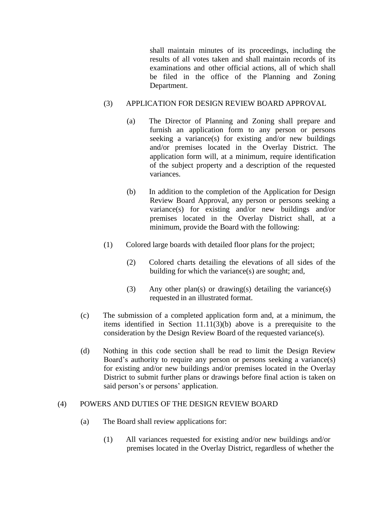shall maintain minutes of its proceedings, including the results of all votes taken and shall maintain records of its examinations and other official actions, all of which shall be filed in the office of the Planning and Zoning Department.

# (3) APPLICATION FOR DESIGN REVIEW BOARD APPROVAL

- (a) The Director of Planning and Zoning shall prepare and furnish an application form to any person or persons seeking a variance(s) for existing and/or new buildings and/or premises located in the Overlay District. The application form will, at a minimum, require identification of the subject property and a description of the requested variances.
- (b) In addition to the completion of the Application for Design Review Board Approval, any person or persons seeking a variance(s) for existing and/or new buildings and/or premises located in the Overlay District shall, at a minimum, provide the Board with the following:
- (1) Colored large boards with detailed floor plans for the project;
	- (2) Colored charts detailing the elevations of all sides of the building for which the variance(s) are sought; and,
	- (3) Any other plan(s) or drawing(s) detailing the variance(s) requested in an illustrated format.
- (c) The submission of a completed application form and, at a minimum, the items identified in Section 11.11(3)(b) above is a prerequisite to the consideration by the Design Review Board of the requested variance(s).
- (d) Nothing in this code section shall be read to limit the Design Review Board's authority to require any person or persons seeking a variance(s) for existing and/or new buildings and/or premises located in the Overlay District to submit further plans or drawings before final action is taken on said person's or persons' application.

# (4) POWERS AND DUTIES OF THE DESIGN REVIEW BOARD

- (a) The Board shall review applications for:
	- (1) All variances requested for existing and/or new buildings and/or premises located in the Overlay District, regardless of whether the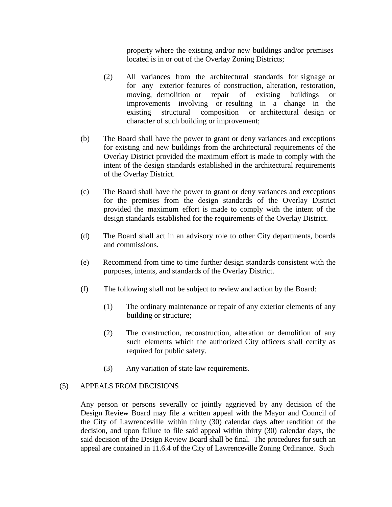property where the existing and/or new buildings and/or premises located is in or out of the Overlay Zoning Districts;

- (2) All variances from the architectural standards for signage or for any exterior features of construction, alteration, restoration, moving, demolition or repair of existing buildings or improvements involving or resulting in a change in the existing structural composition or architectural design or character of such building or improvement;
- (b) The Board shall have the power to grant or deny variances and exceptions for existing and new buildings from the architectural requirements of the Overlay District provided the maximum effort is made to comply with the intent of the design standards established in the architectural requirements of the Overlay District.
- (c) The Board shall have the power to grant or deny variances and exceptions for the premises from the design standards of the Overlay District provided the maximum effort is made to comply with the intent of the design standards established for the requirements of the Overlay District.
- (d) The Board shall act in an advisory role to other City departments, boards and commissions.
- (e) Recommend from time to time further design standards consistent with the purposes, intents, and standards of the Overlay District.
- (f) The following shall not be subject to review and action by the Board:
	- (1) The ordinary maintenance or repair of any exterior elements of any building or structure;
	- (2) The construction, reconstruction, alteration or demolition of any such elements which the authorized City officers shall certify as required for public safety.
	- (3) Any variation of state law requirements.

# (5) APPEALS FROM DECISIONS

Any person or persons severally or jointly aggrieved by any decision of the Design Review Board may file a written appeal with the Mayor and Council of the City of Lawrenceville within thirty (30) calendar days after rendition of the decision, and upon failure to file said appeal within thirty (30) calendar days, the said decision of the Design Review Board shall be final. The procedures for such an appeal are contained in 11.6.4 of the City of Lawrenceville Zoning Ordinance. Such